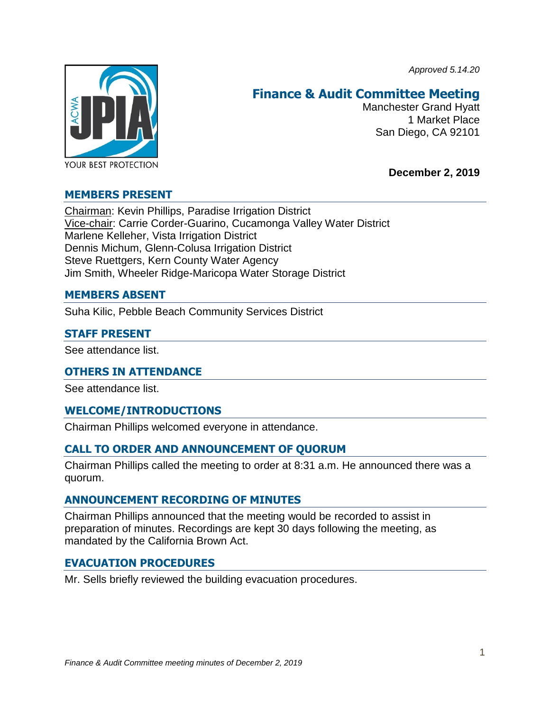*Approved 5.14.20*



# **Finance & Audit Committee Meeting**

Manchester Grand Hyatt 1 Market Place San Diego, CA 92101

### **December 2, 2019**

## **MEMBERS PRESENT**

Chairman: Kevin Phillips, Paradise Irrigation District Vice-chair: Carrie Corder-Guarino, Cucamonga Valley Water District Marlene Kelleher, Vista Irrigation District Dennis Michum, Glenn-Colusa Irrigation District Steve Ruettgers, Kern County Water Agency Jim Smith, Wheeler Ridge-Maricopa Water Storage District

### **MEMBERS ABSENT**

Suha Kilic, Pebble Beach Community Services District

### **STAFF PRESENT**

See attendance list.

#### **OTHERS IN ATTENDANCE**

See attendance list.

## **WELCOME/INTRODUCTIONS**

Chairman Phillips welcomed everyone in attendance.

## **CALL TO ORDER AND ANNOUNCEMENT OF QUORUM**

Chairman Phillips called the meeting to order at 8:31 a.m. He announced there was a quorum.

#### **ANNOUNCEMENT RECORDING OF MINUTES**

Chairman Phillips announced that the meeting would be recorded to assist in preparation of minutes. Recordings are kept 30 days following the meeting, as mandated by the California Brown Act.

#### **EVACUATION PROCEDURES**

Mr. Sells briefly reviewed the building evacuation procedures.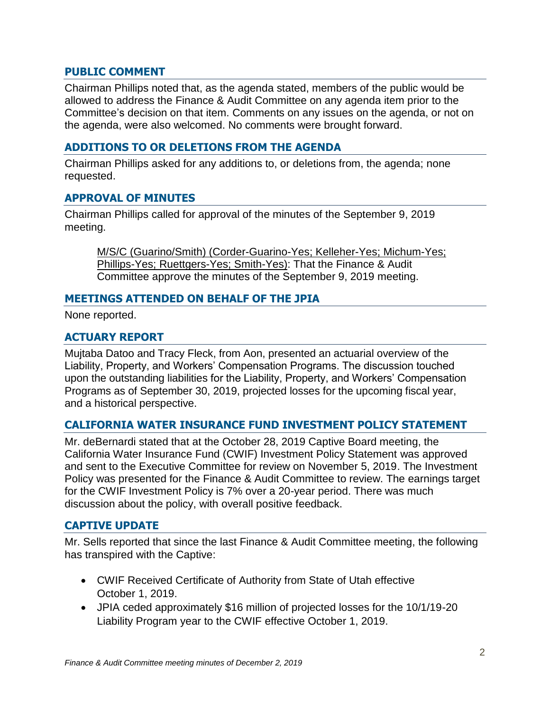## **PUBLIC COMMENT**

Chairman Phillips noted that, as the agenda stated, members of the public would be allowed to address the Finance & Audit Committee on any agenda item prior to the Committee's decision on that item. Comments on any issues on the agenda, or not on the agenda, were also welcomed. No comments were brought forward.

# **ADDITIONS TO OR DELETIONS FROM THE AGENDA**

Chairman Phillips asked for any additions to, or deletions from, the agenda; none requested.

## **APPROVAL OF MINUTES**

Chairman Phillips called for approval of the minutes of the September 9, 2019 meeting.

M/S/C (Guarino/Smith) (Corder-Guarino-Yes; Kelleher-Yes; Michum-Yes; Phillips-Yes; Ruettgers-Yes; Smith-Yes): That the Finance & Audit Committee approve the minutes of the September 9, 2019 meeting.

# **MEETINGS ATTENDED ON BEHALF OF THE JPIA**

None reported.

# **ACTUARY REPORT**

Mujtaba Datoo and Tracy Fleck, from Aon, presented an actuarial overview of the Liability, Property, and Workers' Compensation Programs. The discussion touched upon the outstanding liabilities for the Liability, Property, and Workers' Compensation Programs as of September 30, 2019, projected losses for the upcoming fiscal year, and a historical perspective.

# **CALIFORNIA WATER INSURANCE FUND INVESTMENT POLICY STATEMENT**

Mr. deBernardi stated that at the October 28, 2019 Captive Board meeting, the California Water Insurance Fund (CWIF) Investment Policy Statement was approved and sent to the Executive Committee for review on November 5, 2019. The Investment Policy was presented for the Finance & Audit Committee to review. The earnings target for the CWIF Investment Policy is 7% over a 20-year period. There was much discussion about the policy, with overall positive feedback.

## **CAPTIVE UPDATE**

Mr. Sells reported that since the last Finance & Audit Committee meeting, the following has transpired with the Captive:

- CWIF Received Certificate of Authority from State of Utah effective October 1, 2019.
- JPIA ceded approximately \$16 million of projected losses for the 10/1/19-20 Liability Program year to the CWIF effective October 1, 2019.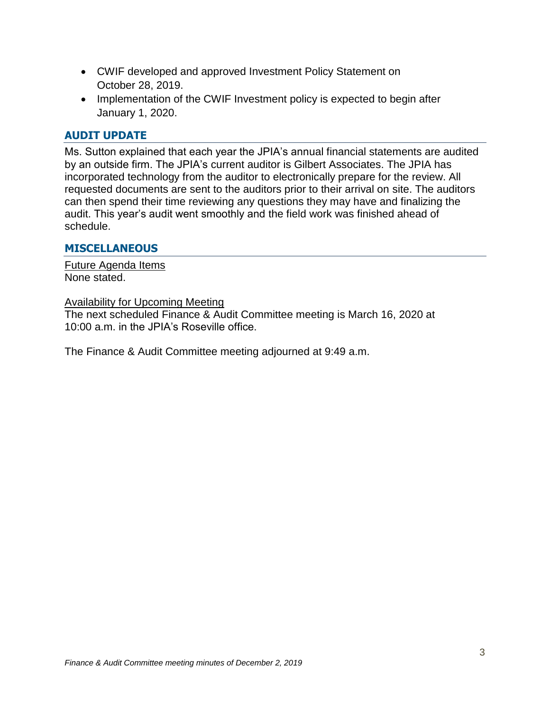- CWIF developed and approved Investment Policy Statement on October 28, 2019.
- Implementation of the CWIF Investment policy is expected to begin after January 1, 2020.

# **AUDIT UPDATE**

Ms. Sutton explained that each year the JPIA's annual financial statements are audited by an outside firm. The JPIA's current auditor is Gilbert Associates. The JPIA has incorporated technology from the auditor to electronically prepare for the review. All requested documents are sent to the auditors prior to their arrival on site. The auditors can then spend their time reviewing any questions they may have and finalizing the audit. This year's audit went smoothly and the field work was finished ahead of schedule.

## **MISCELLANEOUS**

Future Agenda Items None stated.

#### Availability for Upcoming Meeting

The next scheduled Finance & Audit Committee meeting is March 16, 2020 at 10:00 a.m. in the JPIA's Roseville office.

The Finance & Audit Committee meeting adjourned at 9:49 a.m.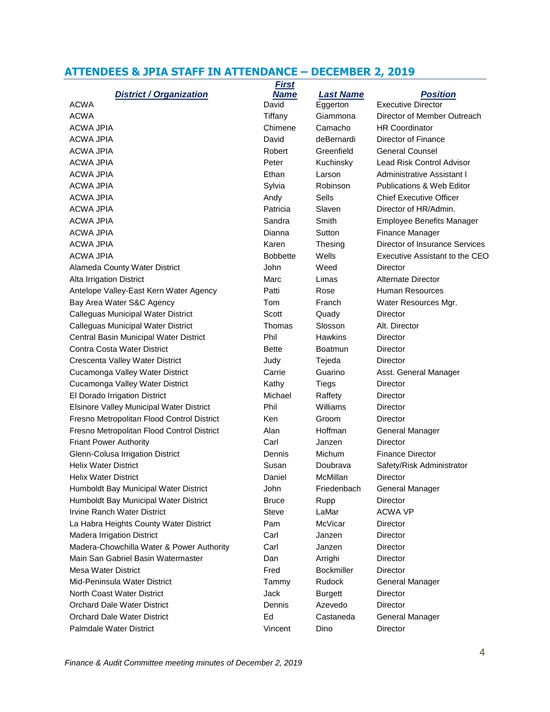# **ATTENDEES & JPIA STAFF IN ATTENDANCE – DECEMBER 2, 2019**

|                                            | <b>First</b>    |                   |                                      |
|--------------------------------------------|-----------------|-------------------|--------------------------------------|
| <b>District / Organization</b>             | <b>Name</b>     | <b>Last Name</b>  | <b>Position</b>                      |
| <b>ACWA</b>                                | David           | Eggerton          | <b>Executive Director</b>            |
| <b>ACWA</b>                                | Tiffany         | Giammona          | Director of Member Outreach          |
| <b>ACWA JPIA</b>                           | Chimene         | Camacho           | <b>HR Coordinator</b>                |
| <b>ACWA JPIA</b>                           | David           | deBernardi        | Director of Finance                  |
| ACWA JPIA                                  | Robert          | Greenfield        | <b>General Counsel</b>               |
| <b>ACWA JPIA</b>                           | Peter           | Kuchinsky         | <b>Lead Risk Control Advisor</b>     |
| ACWA JPIA                                  | Ethan           | Larson            | Administrative Assistant I           |
| ACWA JPIA                                  | Sylvia          | Robinson          | <b>Publications &amp; Web Editor</b> |
| <b>ACWA JPIA</b>                           | Andy            | Sells             | <b>Chief Executive Officer</b>       |
| <b>ACWA JPIA</b>                           | Patricia        | Slaven            | Director of HR/Admin.                |
| <b>ACWA JPIA</b>                           | Sandra          | Smith             | <b>Employee Benefits Manager</b>     |
| <b>ACWA JPIA</b>                           | Dianna          | Sutton            | Finance Manager                      |
| ACWA JPIA                                  | Karen           | Thesing           | Director of Insurance Services       |
| ACWA JPIA                                  | <b>Bobbette</b> | Wells             | Executive Assistant to the CEO       |
| Alameda County Water District              | John            | Weed              | Director                             |
| Alta Irrigation District                   | Marc            | Limas             | Alternate Director                   |
| Antelope Valley-East Kern Water Agency     | Patti           | Rose              | Human Resources                      |
| Bay Area Water S&C Agency                  | Tom             | Franch            | Water Resources Mgr.                 |
| Calleguas Municipal Water District         | Scott           | Quady             | Director                             |
| Calleguas Municipal Water District         | Thomas          | Slosson           | Alt. Director                        |
| Central Basin Municipal Water District     | Phil            | <b>Hawkins</b>    | Director                             |
| Contra Costa Water District                | <b>Bette</b>    | Boatmun           | Director                             |
| Crescenta Valley Water District            | Judy            | Tejeda            | Director                             |
| Cucamonga Valley Water District            | Carrie          | Guarino           | Asst. General Manager                |
| Cucamonga Valley Water District            | Kathy           | Tiegs             | Director                             |
| El Dorado Irrigation District              | Michael         | Raffety           | Director                             |
| Elsinore Valley Municipal Water District   | Phil            | Williams          | Director                             |
| Fresno Metropolitan Flood Control District | Ken             | Groom             | Director                             |
| Fresno Metropolitan Flood Control District | Alan            | Hoffman           | <b>General Manager</b>               |
| <b>Friant Power Authority</b>              | Carl            | Janzen            | Director                             |
| Glenn-Colusa Irrigation District           | Dennis          | Michum            | <b>Finance Director</b>              |
| <b>Helix Water District</b>                | Susan           | Doubrava          | Safety/Risk Administrator            |
| <b>Helix Water District</b>                | Daniel          | McMillan          | Director                             |
| Humboldt Bay Municipal Water District      | John            | Friedenbach       | <b>General Manager</b>               |
| Humboldt Bay Municipal Water District      | <b>Bruce</b>    | Rupp              | Director                             |
| Irvine Ranch Water District                | <b>Steve</b>    | LaMar             | <b>ACWA VP</b>                       |
| La Habra Heights County Water District     | Pam             | McVicar           | Director                             |
| Madera Irrigation District                 | Carl            | Janzen            | Director                             |
| Madera-Chowchilla Water & Power Authority  | Carl            | Janzen            | Director                             |
| Main San Gabriel Basin Watermaster         | Dan             | Arrighi           | <b>Director</b>                      |
| <b>Mesa Water District</b>                 | Fred            | <b>Bockmiller</b> | Director                             |
| Mid-Peninsula Water District               | Tammy           | <b>Rudock</b>     | <b>General Manager</b>               |
| North Coast Water District                 | Jack            | <b>Burgett</b>    | <b>Director</b>                      |
| <b>Orchard Dale Water District</b>         | Dennis          | Azevedo           | Director                             |
| <b>Orchard Dale Water District</b>         | Ed              | Castaneda         | <b>General Manager</b>               |
| Palmdale Water District                    | Vincent         | Dino              | Director                             |